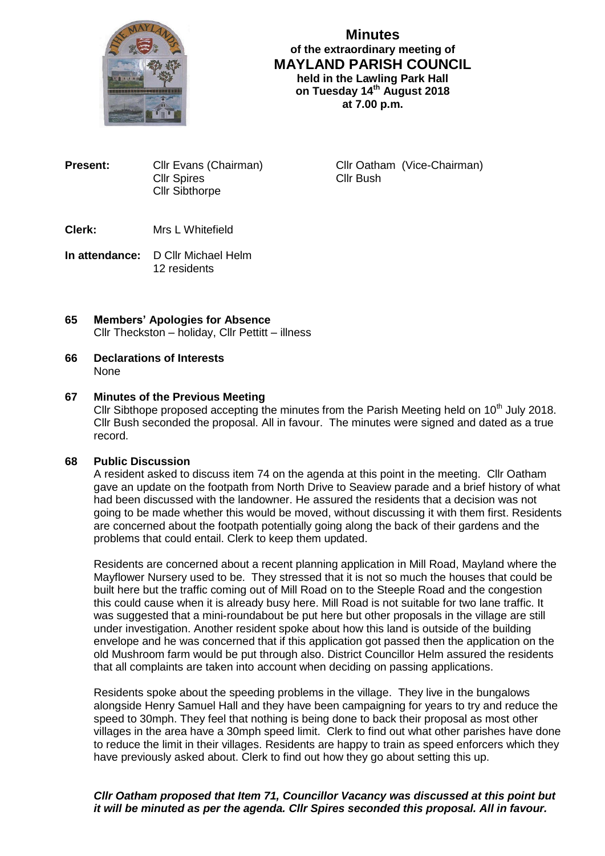

**Minutes of the extraordinary meeting of MAYLAND PARISH COUNCIL held in the Lawling Park Hall on Tuesday 14 th August 2018 at 7.00 p.m.**

**Present:** Cllr Evans (Chairman) Cllr Oatham (Vice-Chairman) Cllr Spires Cllr Bush Cllr Sibthorpe

- **Clerk:** Mrs L Whitefield
- **In attendance:** D Cllr Michael Helm 12 residents
- **65 Members' Apologies for Absence** Cllr Theckston – holiday, Cllr Pettitt – illness
- **66 Declarations of Interests** None

# **67 Minutes of the Previous Meeting**

Cllr Sibthope proposed accepting the minutes from the Parish Meeting held on  $10<sup>th</sup>$  July 2018. Cllr Bush seconded the proposal. All in favour. The minutes were signed and dated as a true record.

## **68 Public Discussion**

A resident asked to discuss item 74 on the agenda at this point in the meeting. Cllr Oatham gave an update on the footpath from North Drive to Seaview parade and a brief history of what had been discussed with the landowner. He assured the residents that a decision was not going to be made whether this would be moved, without discussing it with them first. Residents are concerned about the footpath potentially going along the back of their gardens and the problems that could entail. Clerk to keep them updated.

Residents are concerned about a recent planning application in Mill Road, Mayland where the Mayflower Nursery used to be. They stressed that it is not so much the houses that could be built here but the traffic coming out of Mill Road on to the Steeple Road and the congestion this could cause when it is already busy here. Mill Road is not suitable for two lane traffic. It was suggested that a mini-roundabout be put here but other proposals in the village are still under investigation. Another resident spoke about how this land is outside of the building envelope and he was concerned that if this application got passed then the application on the old Mushroom farm would be put through also. District Councillor Helm assured the residents that all complaints are taken into account when deciding on passing applications.

Residents spoke about the speeding problems in the village. They live in the bungalows alongside Henry Samuel Hall and they have been campaigning for years to try and reduce the speed to 30mph. They feel that nothing is being done to back their proposal as most other villages in the area have a 30mph speed limit. Clerk to find out what other parishes have done to reduce the limit in their villages. Residents are happy to train as speed enforcers which they have previously asked about. Clerk to find out how they go about setting this up.

*Cllr Oatham proposed that Item 71, Councillor Vacancy was discussed at this point but it will be minuted as per the agenda. Cllr Spires seconded this proposal. All in favour.*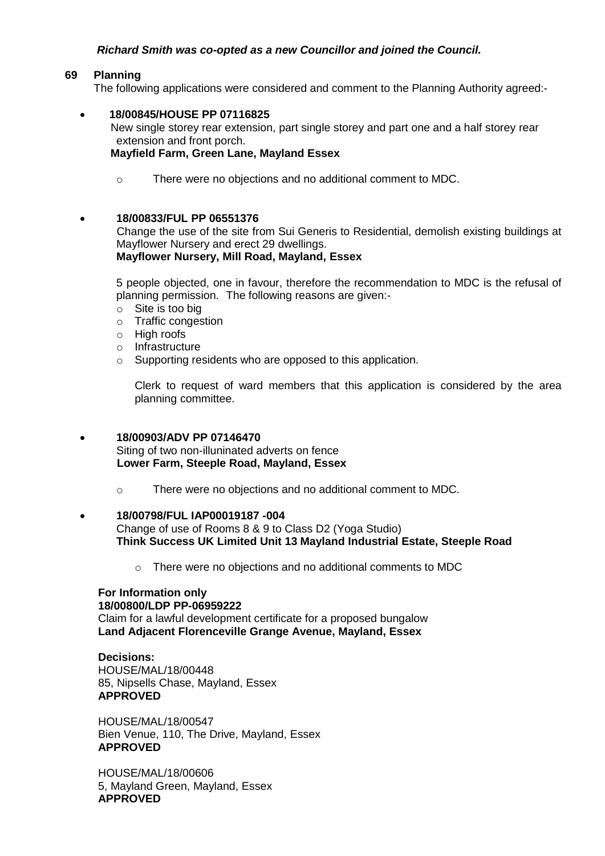# *Richard Smith was co-opted as a new Councillor and joined the Council.*

### **69 Planning**

The following applications were considered and comment to the Planning Authority agreed:-

#### **18/00845/HOUSE PP 07116825** New single storey rear extension, part single storey and part one and a half storey rear extension and front porch.

#### **Mayfield Farm, Green Lane, Mayland Essex**

o There were no objections and no additional comment to MDC.

### **18/00833/FUL PP 06551376**

 Change the use of the site from Sui Generis to Residential, demolish existing buildings at Mayflower Nursery and erect 29 dwellings.

# **Mayflower Nursery, Mill Road, Mayland, Essex**

5 people objected, one in favour, therefore the recommendation to MDC is the refusal of planning permission. The following reasons are given:-

- o Site is too big
- o Traffic congestion
- $\circ$  High roofs
- o Infrastructure
- o Supporting residents who are opposed to this application.

Clerk to request of ward members that this application is considered by the area planning committee.

## **18/00903/ADV PP 07146470**

Siting of two non-illuninated adverts on fence **Lower Farm, Steeple Road, Mayland, Essex**

o There were no objections and no additional comment to MDC.

#### **18/00798/FUL IAP00019187 -004**

Change of use of Rooms 8 & 9 to Class D2 (Yoga Studio) **Think Success UK Limited Unit 13 Mayland Industrial Estate, Steeple Road**

o There were no objections and no additional comments to MDC

#### **For Information only 18/00800/LDP PP-06959222**

Claim for a lawful development certificate for a proposed bungalow **Land Adjacent Florenceville Grange Avenue, Mayland, Essex**

**Decisions:** HOUSE/MAL/18/00448 85, Nipsells Chase, Mayland, Essex **APPROVED**

HOUSE/MAL/18/00547 Bien Venue, 110, The Drive, Mayland, Essex **APPROVED**

HOUSE/MAL/18/00606 5, Mayland Green, Mayland, Essex **APPROVED**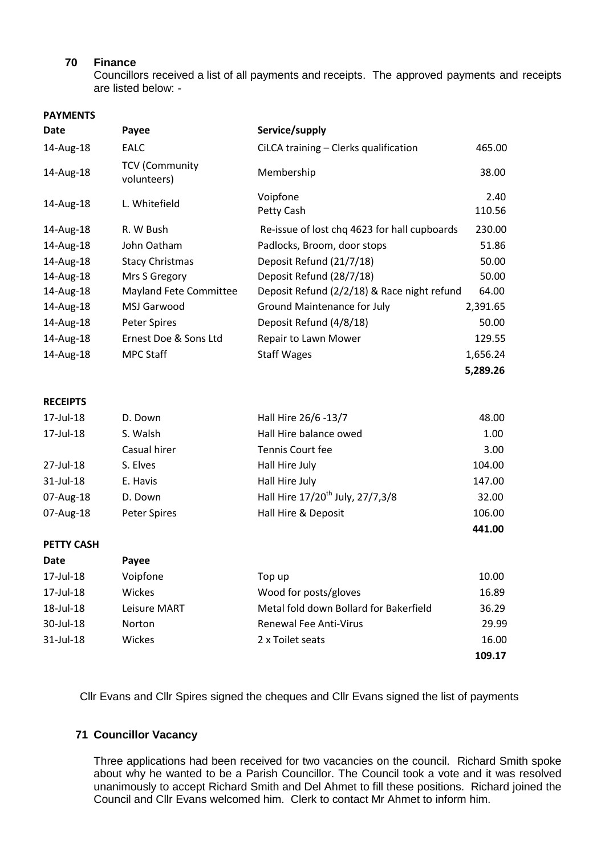# **70 Finance**

Councillors received a list of all payments and receipts. The approved payments and receipts are listed below: -

#### **PAYMENTS**

| <b>Date</b>       | Payee                                | Service/supply                               |                |
|-------------------|--------------------------------------|----------------------------------------------|----------------|
| 14-Aug-18         | <b>EALC</b>                          | CiLCA training - Clerks qualification        | 465.00         |
| 14-Aug-18         | <b>TCV (Community</b><br>volunteers) | Membership                                   | 38.00          |
| 14-Aug-18         | L. Whitefield                        | Voipfone<br>Petty Cash                       | 2.40<br>110.56 |
| 14-Aug-18         | R. W Bush                            | Re-issue of lost chq 4623 for hall cupboards | 230.00         |
| 14-Aug-18         | John Oatham                          | Padlocks, Broom, door stops                  | 51.86          |
| 14-Aug-18         | <b>Stacy Christmas</b>               | Deposit Refund (21/7/18)                     | 50.00          |
| 14-Aug-18         | Mrs S Gregory                        | Deposit Refund (28/7/18)                     | 50.00          |
| 14-Aug-18         | <b>Mayland Fete Committee</b>        | Deposit Refund (2/2/18) & Race night refund  | 64.00          |
| 14-Aug-18         | MSJ Garwood                          | Ground Maintenance for July                  | 2,391.65       |
| 14-Aug-18         | Peter Spires                         | Deposit Refund (4/8/18)                      | 50.00          |
| 14-Aug-18         | Ernest Doe & Sons Ltd                | Repair to Lawn Mower                         | 129.55         |
| 14-Aug-18         | <b>MPC Staff</b>                     | <b>Staff Wages</b>                           | 1,656.24       |
|                   |                                      |                                              | 5,289.26       |
| <b>RECEIPTS</b>   |                                      |                                              |                |
| 17-Jul-18         | D. Down                              | Hall Hire 26/6 -13/7                         | 48.00          |
| 17-Jul-18         | S. Walsh                             | Hall Hire balance owed                       | 1.00           |
|                   | Casual hirer                         | Tennis Court fee                             | 3.00           |
| 27-Jul-18         | S. Elves                             | Hall Hire July                               | 104.00         |
| 31-Jul-18         | E. Havis                             | Hall Hire July                               | 147.00         |
| 07-Aug-18         | D. Down                              | Hall Hire 17/20 <sup>th</sup> July, 27/7,3/8 | 32.00          |
| 07-Aug-18         | Peter Spires                         | Hall Hire & Deposit                          | 106.00         |
|                   |                                      |                                              | 441.00         |
| <b>PETTY CASH</b> |                                      |                                              |                |
| <b>Date</b>       | Payee                                |                                              |                |
| 17-Jul-18         | Voipfone                             | Top up                                       | 10.00          |
| 17-Jul-18         | Wickes                               | Wood for posts/gloves                        | 16.89          |
| 18-Jul-18         | Leisure MART                         | Metal fold down Bollard for Bakerfield       | 36.29          |
| 30-Jul-18         | Norton                               | <b>Renewal Fee Anti-Virus</b>                | 29.99          |
| 31-Jul-18         | Wickes                               | 2 x Toilet seats                             | 16.00          |
|                   |                                      |                                              | 109.17         |

Cllr Evans and Cllr Spires signed the cheques and Cllr Evans signed the list of payments

### **71 Councillor Vacancy**

Three applications had been received for two vacancies on the council. Richard Smith spoke about why he wanted to be a Parish Councillor. The Council took a vote and it was resolved unanimously to accept Richard Smith and Del Ahmet to fill these positions. Richard joined the Council and Cllr Evans welcomed him. Clerk to contact Mr Ahmet to inform him.